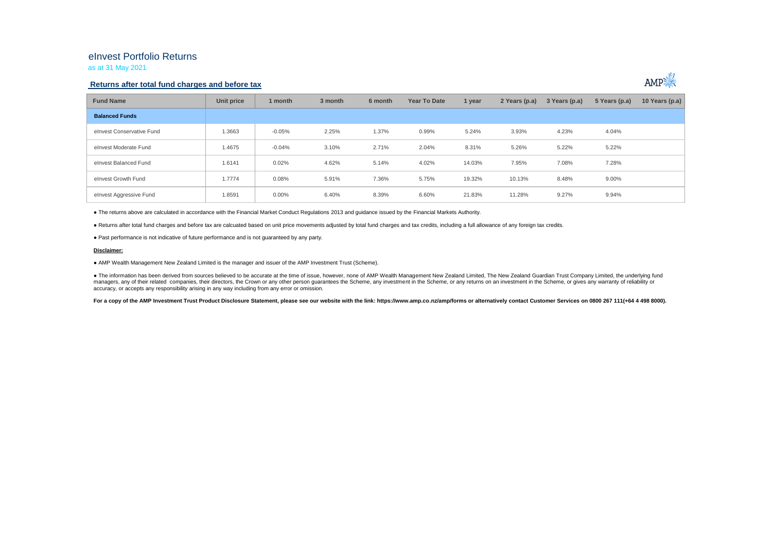## eInvest Portfolio Returns

as at 31 May 2021

### **Returns after total fund charges and before tax**



| <b>Fund Name</b>          | Unit price | 1 month  | 3 month | 6 month | Year To Date | 1 year | 2 Years (p.a) | 3 Years (p.a) | 5 Years (p.a) | 10 Years (p.a) $ $ |
|---------------------------|------------|----------|---------|---------|--------------|--------|---------------|---------------|---------------|--------------------|
| <b>Balanced Funds</b>     |            |          |         |         |              |        |               |               |               |                    |
| elnvest Conservative Fund | 1.3663     | $-0.05%$ | 2.25%   | 1.37%   | 0.99%        | 5.24%  | 3.93%         | 4.23%         | 4.04%         |                    |
| elnvest Moderate Fund     | 1.4675     | $-0.04%$ | 3.10%   | 2.71%   | 2.04%        | 8.31%  | 5.26%         | 5.22%         | 5.22%         |                    |
| elnvest Balanced Fund     | 1.6141     | 0.02%    | 4.62%   | 5.14%   | 4.02%        | 14.03% | 7.95%         | 7.08%         | 7.28%         |                    |
| elnvest Growth Fund       | 1.7774     | 0.08%    | 5.91%   | 7.36%   | 5.75%        | 19.32% | 10.13%        | 8.48%         | 9.00%         |                    |
| elnvest Aggressive Fund   | 1.8591     | $0.00\%$ | 6.40%   | 8.39%   | 6.60%        | 21.83% | 11.28%        | 9.27%         | 9.94%         |                    |

● The returns above are calculated in accordance with the Financial Market Conduct Regulations 2013 and guidance issued by the Financial Markets Authority.

● Returns after total fund charges and before tax are calcuated based on unit price movements adjusted by total fund charges and tax credits, including a full allowance of any foreign tax credits.

● Past performance is not indicative of future performance and is not guaranteed by any party.

#### **Disclaimer:**

● AMP Wealth Management New Zealand Limited is the manager and issuer of the AMP Investment Trust (Scheme).

● The information has been derived from sources believed to be accurate at the time of issue, however, none of AMP Wealth Management New Zealand Limited, The New Zealand Guardian Trust Company Limited, the underlying fund managers, any of their related companies, their directors, the Crown or any other person quarantees the Scheme, any investment in the Scheme, or any returns on an investment in the Scheme, or qives any warranty of reliabil accuracy, or accepts any responsibility arising in any way including from any error or omission.

For a copy of the AMP Investment Trust Product Disclosure Statement, please see our website with the link: https://www.amp.co.nz/amp/forms or alternatively contact Customer Services on 0800 267 111(+64 4 498 8000).